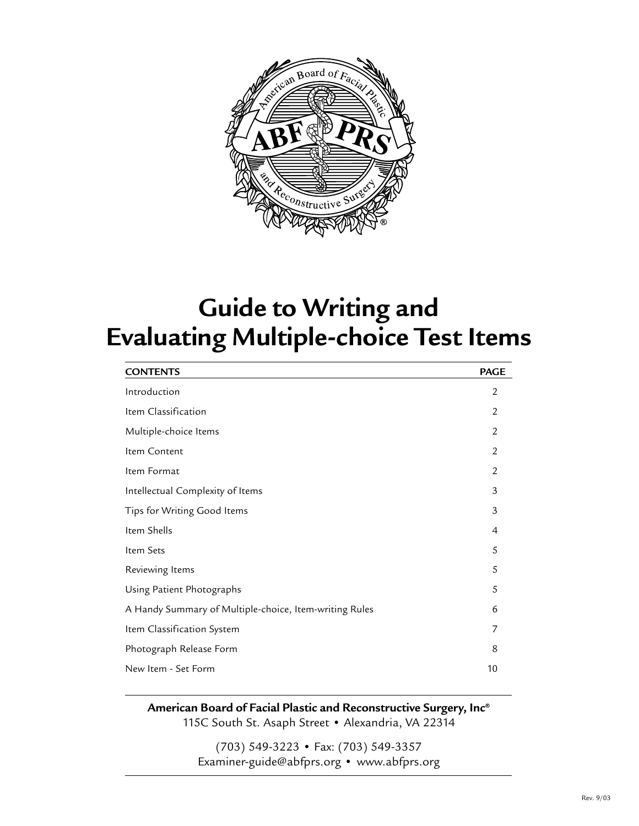

# **Guide to Writing and Evaluating Multiple-choice Test Items**

| <b>CONTENTS</b>                                        | <b>PAGE</b>    |
|--------------------------------------------------------|----------------|
| Introduction                                           | 2              |
| Item Classification                                    | 2              |
| Multiple-choice Items                                  | 2              |
| Item Content                                           | 2              |
| Item Format                                            | 2              |
| Intellectual Complexity of Items                       | 3              |
| Tips for Writing Good Items                            | 3              |
| Item Shells                                            | $\overline{4}$ |
| Item Sets                                              | 5              |
| Reviewing Items                                        | 5              |
| Using Patient Photographs                              | 5              |
| A Handy Summary of Multiple-choice, Item-writing Rules | 6              |
| Item Classification System                             | 7              |
| Photograph Release Form                                | 8              |
| New Item - Set Form                                    | 10             |
|                                                        |                |

**American Board of Facial Plastic and Reconstructive Surgery, Inc®** 115C South St. Asaph Street • Alexandria, VA 22314

> (703) 549-3223 • Fax: (703) 549-3357 Examiner-guide@abfprs.org • www.abfprs.org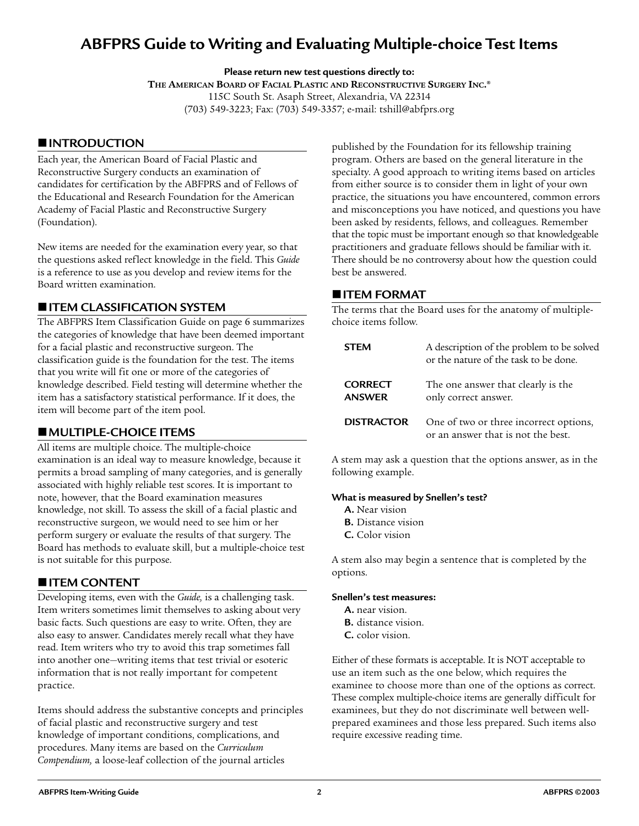# **ABFPRS Guide to Writing and Evaluating Multiple-choice Test Items**

**Please return new test questions directly to:**

**THE AMERICAN BOARD OF FACIAL PLASTIC AND RECONSTRUCTIVE SURGERY INC. ®** 115C South St. Asaph Street, Alexandria, VA 22314 (703) 549-3223; Fax: (703) 549-3357; e-mail: tshill@abfprs.org

# ■ **INTRODUCTION**

Each year, the American Board of Facial Plastic and Reconstructive Surgery conducts an examination of candidates for certification by the ABFPRS and of Fellows of the Educational and Research Foundation for the American Academy of Facial Plastic and Reconstructive Surgery (Foundation).

New items are needed for the examination every year, so that the questions asked reflect knowledge in the field. This *Guide* is a reference to use as you develop and review items for the Board written examination.

# ■ **ITEM CLASSIFICATION SYSTEM**

The ABFPRS Item Classification Guide on page 6 summarizes the categories of knowledge that have been deemed important for a facial plastic and reconstructive surgeon. The classification guide is the foundation for the test. The items that you write will fit one or more of the categories of knowledge described. Field testing will determine whether the item has a satisfactory statistical performance. If it does, the item will become part of the item pool.

# ■ **MULTIPLE-CHOICE ITEMS**

All items are multiple choice. The multiple-choice examination is an ideal way to measure knowledge, because it permits a broad sampling of many categories, and is generally associated with highly reliable test scores. It is important to note, however, that the Board examination measures knowledge, not skill. To assess the skill of a facial plastic and reconstructive surgeon, we would need to see him or her perform surgery or evaluate the results of that surgery. The Board has methods to evaluate skill, but a multiple-choice test is not suitable for this purpose.

#### ■ **ITEM CONTENT**

Developing items, even with the *Guide,* is a challenging task. Item writers sometimes limit themselves to asking about very basic facts. Such questions are easy to write. Often, they are also easy to answer. Candidates merely recall what they have read. Item writers who try to avoid this trap sometimes fall into another one—writing items that test trivial or esoteric information that is not really important for competent practice.

Items should address the substantive concepts and principles of facial plastic and reconstructive surgery and test knowledge of important conditions, complications, and procedures. Many items are based on the *Curriculum Compendium,* a loose-leaf collection of the journal articles

published by the Foundation for its fellowship training program. Others are based on the general literature in the specialty. A good approach to writing items based on articles from either source is to consider them in light of your own practice, the situations you have encountered, common errors and misconceptions you have noticed, and questions you have been asked by residents, fellows, and colleagues. Remember that the topic must be important enough so that knowledgeable practitioners and graduate fellows should be familiar with it. There should be no controversy about how the question could best be answered.

#### ■ **ITEM FORMAT**

The terms that the Board uses for the anatomy of multiplechoice items follow.

| <b>STEM</b>                     | A description of the problem to be solved<br>or the nature of the task to be done. |
|---------------------------------|------------------------------------------------------------------------------------|
| <b>CORRECT</b><br><b>ANSWER</b> | The one answer that clearly is the<br>only correct answer.                         |
| <b>DISTRACTOR</b>               | One of two or three incorrect options,<br>or an answer that is not the best.       |

A stem may ask a question that the options answer, as in the following example.

#### **What is measured by Snellen's test?**

- **A.** Near vision
- **B.** Distance vision
- **C.** Color vision

A stem also may begin a sentence that is completed by the options.

#### **Snellen's test measures:**

- **A.** near vision.
- **B.** distance vision.
- **C.** color vision.

Either of these formats is acceptable. It is NOT acceptable to use an item such as the one below, which requires the examinee to choose more than one of the options as correct. These complex multiple-choice items are generally difficult for examinees, but they do not discriminate well between wellprepared examinees and those less prepared. Such items also require excessive reading time.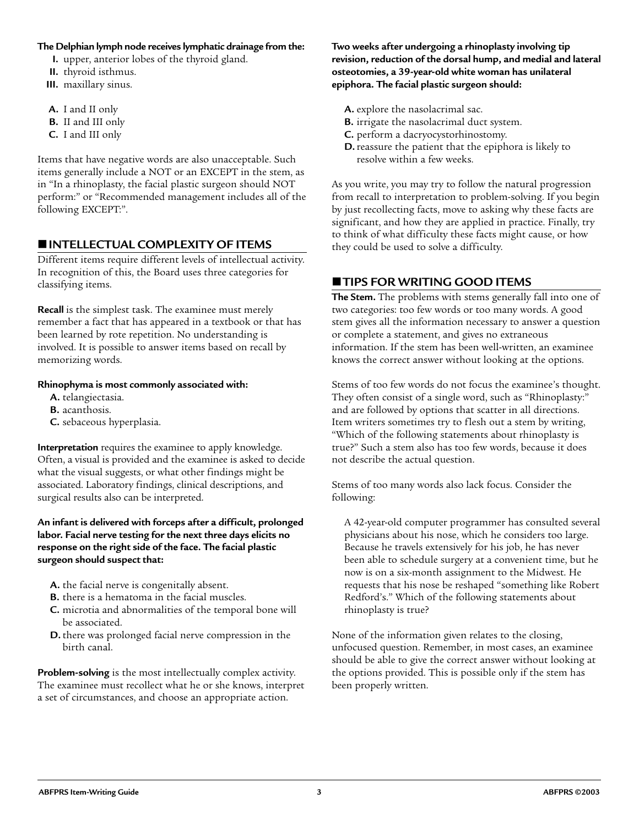#### **The Delphian lymph node receives lymphatic drainage from the:**

- **I.** upper, anterior lobes of the thyroid gland.
- **II.** thyroid isthmus.
- **III.** maxillary sinus.
- **A.** I and II only
- **B.** II and III only
- **C.** I and III only

Items that have negative words are also unacceptable. Such items generally include a NOT or an EXCEPT in the stem, as in "In a rhinoplasty, the facial plastic surgeon should NOT perform:" or "Recommended management includes all of the following EXCEPT:".

# ■ **INTELLECTUAL COMPLEXITY OF ITEMS**

Different items require different levels of intellectual activity. In recognition of this, the Board uses three categories for classifying items.

**Recall** is the simplest task. The examinee must merely remember a fact that has appeared in a textbook or that has been learned by rote repetition. No understanding is involved. It is possible to answer items based on recall by memorizing words.

#### **Rhinophyma is most commonly associated with:**

- **A.** telangiectasia.
- **B.** acanthosis.
- **C.** sebaceous hyperplasia.

**Interpretation** requires the examinee to apply knowledge. Often, a visual is provided and the examinee is asked to decide what the visual suggests, or what other findings might be associated. Laboratory findings, clinical descriptions, and surgical results also can be interpreted.

#### **An infant is delivered with forceps after a difficult, prolonged labor. Facial nerve testing for the next three days elicits no response on the right side of the face. The facial plastic surgeon should suspect that:**

- **A.** the facial nerve is congenitally absent.
- **B.** there is a hematoma in the facial muscles.
- **C.** microtia and abnormalities of the temporal bone will be associated.
- **D.**there was prolonged facial nerve compression in the birth canal.

**Problem-solving** is the most intellectually complex activity. The examinee must recollect what he or she knows, interpret a set of circumstances, and choose an appropriate action.

#### **Two weeks after undergoing a rhinoplasty involving tip revision, reduction of the dorsal hump, and medial and lateral osteotomies, a 39-year-old white woman has unilateral epiphora. The facial plastic surgeon should:**

- **A.** explore the nasolacrimal sac.
- **B.** irrigate the nasolacrimal duct system.
- **C.** perform a dacryocystorhinostomy.
- **D.**reassure the patient that the epiphora is likely to resolve within a few weeks.

As you write, you may try to follow the natural progression from recall to interpretation to problem-solving. If you begin by just recollecting facts, move to asking why these facts are significant, and how they are applied in practice. Finally, try to think of what difficulty these facts might cause, or how they could be used to solve a difficulty.

# ■ **TIPS FOR WRITING GOOD ITEMS**

**The Stem.** The problems with stems generally fall into one of two categories: too few words or too many words. A good stem gives all the information necessary to answer a question or complete a statement, and gives no extraneous information. If the stem has been well-written, an examinee knows the correct answer without looking at the options.

Stems of too few words do not focus the examinee's thought. They often consist of a single word, such as "Rhinoplasty:" and are followed by options that scatter in all directions. Item writers sometimes try to flesh out a stem by writing, "Which of the following statements about rhinoplasty is true?" Such a stem also has too few words, because it does not describe the actual question.

Stems of too many words also lack focus. Consider the following:

A 42-year-old computer programmer has consulted several physicians about his nose, which he considers too large. Because he travels extensively for his job, he has never been able to schedule surgery at a convenient time, but he now is on a six-month assignment to the Midwest. He requests that his nose be reshaped "something like Robert Redford's." Which of the following statements about rhinoplasty is true?

None of the information given relates to the closing, unfocused question. Remember, in most cases, an examinee should be able to give the correct answer without looking at the options provided. This is possible only if the stem has been properly written.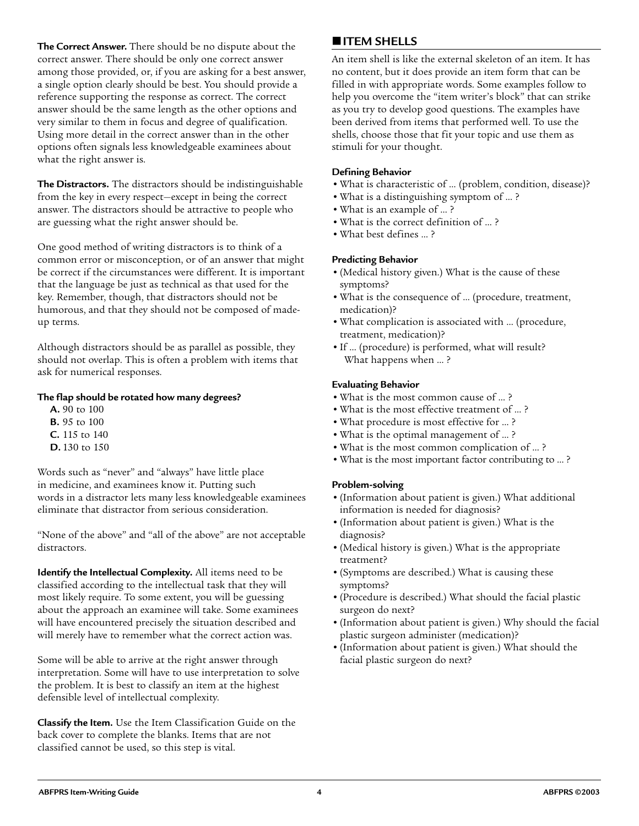**The Correct Answer.** There should be no dispute about the correct answer. There should be only one correct answer among those provided, or, if you are asking for a best answer, a single option clearly should be best. You should provide a reference supporting the response as correct. The correct answer should be the same length as the other options and very similar to them in focus and degree of qualification. Using more detail in the correct answer than in the other options often signals less knowledgeable examinees about what the right answer is.

**The Distractors.** The distractors should be indistinguishable from the key in every respect—except in being the correct answer. The distractors should be attractive to people who are guessing what the right answer should be.

One good method of writing distractors is to think of a common error or misconception, or of an answer that might be correct if the circumstances were different. It is important that the language be just as technical as that used for the key. Remember, though, that distractors should not be humorous, and that they should not be composed of madeup terms.

Although distractors should be as parallel as possible, they should not overlap. This is often a problem with items that ask for numerical responses.

#### **The flap should be rotated how many degrees?**

**A.** 90 to 100 **B.** 95 to 100 **C.** 115 to 140 **D.** 130 to 150

Words such as "never" and "always" have little place in medicine, and examinees know it. Putting such words in a distractor lets many less knowledgeable examinees eliminate that distractor from serious consideration.

"None of the above" and "all of the above" are not acceptable distractors.

**Identify the Intellectual Complexity.** All items need to be classified according to the intellectual task that they will most likely require. To some extent, you will be guessing about the approach an examinee will take. Some examinees will have encountered precisely the situation described and will merely have to remember what the correct action was.

Some will be able to arrive at the right answer through interpretation. Some will have to use interpretation to solve the problem. It is best to classify an item at the highest defensible level of intellectual complexity.

**Classify the Item.** Use the Item Classification Guide on the back cover to complete the blanks. Items that are not classified cannot be used, so this step is vital.

# ■ **ITEM SHELLS**

An item shell is like the external skeleton of an item. It has no content, but it does provide an item form that can be filled in with appropriate words. Some examples follow to help you overcome the "item writer's block" that can strike as you try to develop good questions. The examples have been derived from items that performed well. To use the shells, choose those that fit your topic and use them as stimuli for your thought.

#### **Defining Behavior**

- •What is characteristic of … (problem, condition, disease)?
- •What is a distinguishing symptom of … ?
- •What is an example of … ?
- •What is the correct definition of … ?
- •What best defines … ?

#### **Predicting Behavior**

- •(Medical history given.) What is the cause of these symptoms?
- •What is the consequence of … (procedure, treatment, medication)?
- •What complication is associated with … (procedure, treatment, medication)?
- •If … (procedure) is performed, what will result? What happens when … ?

### **Evaluating Behavior**

- •What is the most common cause of … ?
- •What is the most effective treatment of … ?
- •What procedure is most effective for … ?
- •What is the optimal management of … ?
- •What is the most common complication of … ?
- •What is the most important factor contributing to … ?

#### **Problem-solving**

- •(Information about patient is given.) What additional information is needed for diagnosis?
- •(Information about patient is given.) What is the diagnosis?
- •(Medical history is given.) What is the appropriate treatment?
- •(Symptoms are described.) What is causing these symptoms?
- •(Procedure is described.) What should the facial plastic surgeon do next?
- •(Information about patient is given.) Why should the facial plastic surgeon administer (medication)?
- •(Information about patient is given.) What should the facial plastic surgeon do next?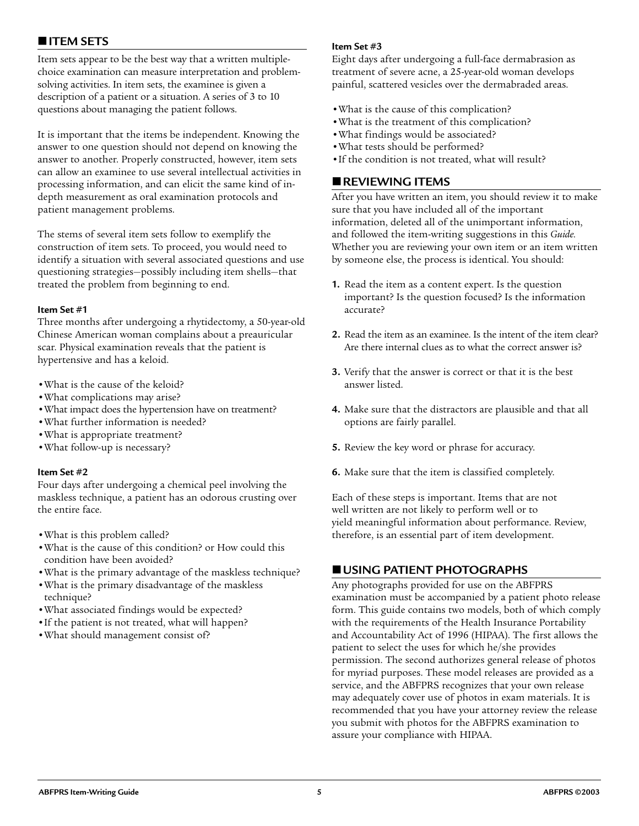### ■ **ITEM SETS**

Item sets appear to be the best way that a written multiplechoice examination can measure interpretation and problemsolving activities. In item sets, the examinee is given a description of a patient or a situation. A series of 3 to 10 questions about managing the patient follows.

It is important that the items be independent. Knowing the answer to one question should not depend on knowing the answer to another. Properly constructed, however, item sets can allow an examinee to use several intellectual activities in processing information, and can elicit the same kind of indepth measurement as oral examination protocols and patient management problems.

The stems of several item sets follow to exemplify the construction of item sets. To proceed, you would need to identify a situation with several associated questions and use questioning strategies—possibly including item shells—that treated the problem from beginning to end.

#### **Item Set #1**

Three months after undergoing a rhytidectomy, a 50-year-old Chinese American woman complains about a preauricular scar. Physical examination reveals that the patient is hypertensive and has a keloid.

- •What is the cause of the keloid?
- •What complications may arise?
- •What impact does the hypertension have on treatment?
- •What further information is needed?
- •What is appropriate treatment?
- •What follow-up is necessary?

#### **Item Set #2**

Four days after undergoing a chemical peel involving the maskless technique, a patient has an odorous crusting over the entire face.

- •What is this problem called?
- •What is the cause of this condition? or How could this condition have been avoided?
- •What is the primary advantage of the maskless technique?
- •What is the primary disadvantage of the maskless technique?
- •What associated findings would be expected?
- •If the patient is not treated, what will happen?
- •What should management consist of?

#### **Item Set #3**

Eight days after undergoing a full-face dermabrasion as treatment of severe acne, a 25-year-old woman develops painful, scattered vesicles over the dermabraded areas.

- •What is the cause of this complication?
- •What is the treatment of this complication?
- •What findings would be associated?
- •What tests should be performed?
- •If the condition is not treated, what will result?

### ■ **REVIEWING ITEMS**

After you have written an item, you should review it to make sure that you have included all of the important information, deleted all of the unimportant information, and followed the item-writing suggestions in this *Guide.* Whether you are reviewing your own item or an item written by someone else, the process is identical. You should:

- **1.** Read the item as a content expert. Is the question important? Is the question focused? Is the information accurate?
- **2.** Read the item as an examinee. Is the intent of the item clear? Are there internal clues as to what the correct answer is?
- **3.** Verify that the answer is correct or that it is the best answer listed.
- **4.** Make sure that the distractors are plausible and that all options are fairly parallel.
- **5.** Review the key word or phrase for accuracy.
- **6.** Make sure that the item is classified completely.

Each of these steps is important. Items that are not well written are not likely to perform well or to yield meaningful information about performance. Review, therefore, is an essential part of item development.

#### ■ **USING PATIENT PHOTOGRAPHS**

Any photographs provided for use on the ABFPRS examination must be accompanied by a patient photo release form. This guide contains two models, both of which comply with the requirements of the Health Insurance Portability and Accountability Act of 1996 (HIPAA). The first allows the patient to select the uses for which he/she provides permission. The second authorizes general release of photos for myriad purposes. These model releases are provided as a service, and the ABFPRS recognizes that your own release may adequately cover use of photos in exam materials. It is recommended that you have your attorney review the release you submit with photos for the ABFPRS examination to assure your compliance with HIPAA.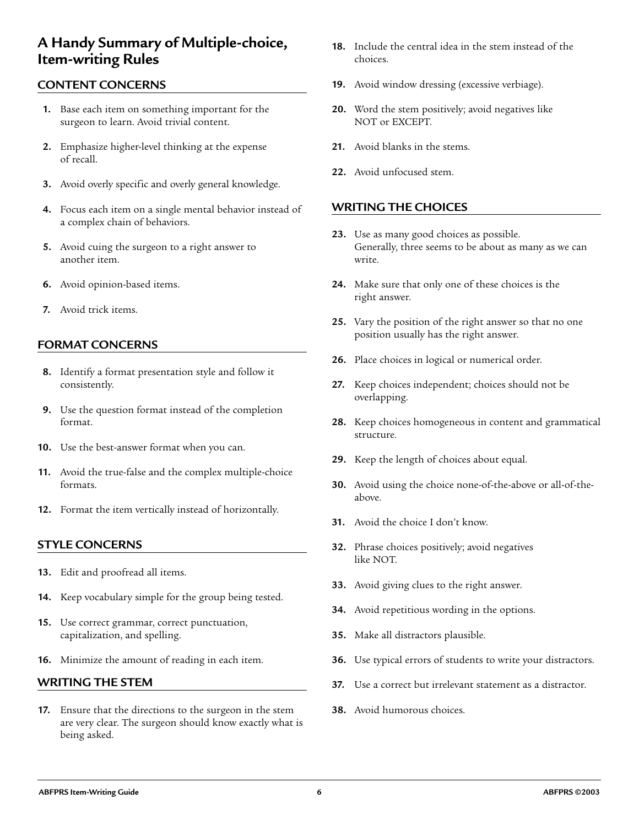# **A Handy Summary of Multiple-choice, Item-writing Rules**

# **CONTENT CONCERNS**

- **1.** Base each item on something important for the surgeon to learn. Avoid trivial content.
- **2.** Emphasize higher-level thinking at the expense of recall.
- **3.** Avoid overly specific and overly general knowledge.
- **4.** Focus each item on a single mental behavior instead of a complex chain of behaviors.
- **5.** Avoid cuing the surgeon to a right answer to another item.
- **6.** Avoid opinion-based items.
- **7.** Avoid trick items.

# **FORMAT CONCERNS**

- **8.** Identify a format presentation style and follow it consistently.
- **9.** Use the question format instead of the completion format.
- **10.** Use the best-answer format when you can.
- **11.** Avoid the true-false and the complex multiple-choice formats.
- **12.** Format the item vertically instead of horizontally.

# **STYLE CONCERNS**

- **13.** Edit and proofread all items.
- **14.** Keep vocabulary simple for the group being tested.
- **15.** Use correct grammar, correct punctuation, capitalization, and spelling.
- **16.** Minimize the amount of reading in each item.

# **WRITING THE STEM**

**17.** Ensure that the directions to the surgeon in the stem are very clear. The surgeon should know exactly what is being asked.

- **18.** Include the central idea in the stem instead of the choices.
- **19.** Avoid window dressing (excessive verbiage).
- **20.** Word the stem positively; avoid negatives like NOT or EXCEPT.
- **21.** Avoid blanks in the stems.
- **22.** Avoid unfocused stem.

#### **WRITING THE CHOICES**

- **23.** Use as many good choices as possible. Generally, three seems to be about as many as we can write.
- **24.** Make sure that only one of these choices is the right answer.
- **25.** Vary the position of the right answer so that no one position usually has the right answer.
- **26.** Place choices in logical or numerical order.
- **27.** Keep choices independent; choices should not be overlapping.
- **28.** Keep choices homogeneous in content and grammatical structure.
- **29.** Keep the length of choices about equal.
- **30.** Avoid using the choice none-of-the-above or all-of-theabove.
- **31.** Avoid the choice I don't know.
- **32.** Phrase choices positively; avoid negatives like NOT.
- **33.** Avoid giving clues to the right answer.
- **34.** Avoid repetitious wording in the options.
- **35.** Make all distractors plausible.
- **36.** Use typical errors of students to write your distractors.
- **37.** Use a correct but irrelevant statement as a distractor.
- **38.** Avoid humorous choices.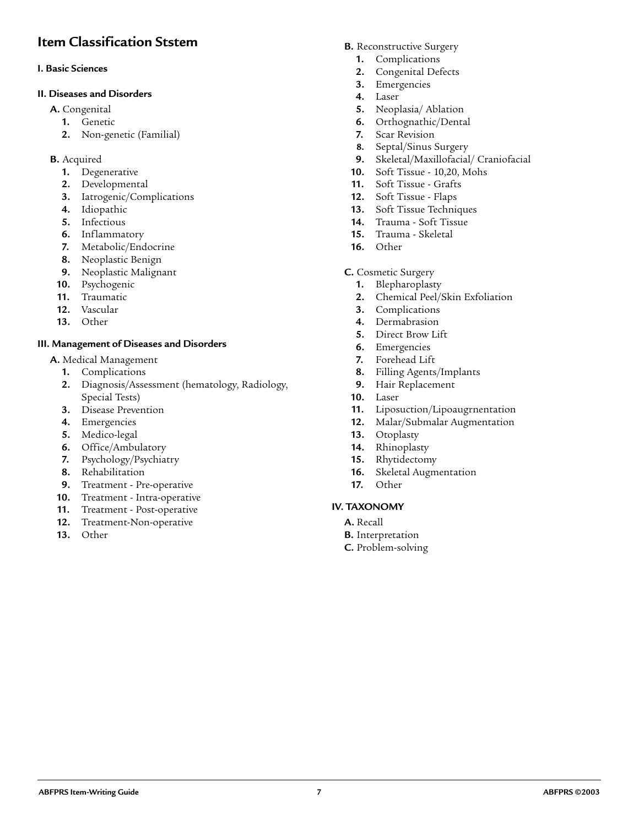# **Item Classification Ststem**

#### **I. Basic Sciences**

#### **II. Diseases and Disorders**

- **A.** Congenital
	- **1.** Genetic
	- **2.** Non-genetic (Familial)
- **B.** Acquired
	- **1.** Degenerative
	- **2.** Developmental
	- **3.** Iatrogenic/Complications
	- **4.** Idiopathic
	- **5.** Infectious
	- **6.** Inflammatory
	- **7.** Metabolic/Endocrine
	- **8.** Neoplastic Benign
	- **9.** Neoplastic Malignant
- **10.** Psychogenic
- **11.** Traumatic
- **12.** Vascular
- **13.** Other

#### **III. Management of Diseases and Disorders**

- **A.** Medical Management
	- **1.** Complications
	- **2.** Diagnosis/Assessment (hematology, Radiology, Special Tests)
	- **3.** Disease Prevention
	- **4.** Emergencies
	- **5.** Medico-legal
	- **6.** Office/Ambulatory
	- **7.** Psychology/Psychiatry
	- **8.** Rehabilitation
	- **9.** Treatment Pre-operative
	- **10.** Treatment Intra-operative
	- **11.** Treatment Post-operative
	- **12.** Treatment-Non-operative
	- **13.** Other
- **B.** Reconstructive Surgery
	- **1.** Complications
	- **2.** Congenital Defects
	- **3.** Emergencies
	- **4.** Laser
	- **5.** Neoplasia/ Ablation **6.** Orthognathic/Dental
	- **7.** Scar Revision
	- **8.** Septal/Sinus Surgery
	-
	- **9.** Skeletal/Maxillofacial/ Craniofacial<br>**10.** Soft Tissue 10.20. Mohs **10.** Soft Tissue - 10,20, Mohs
	- **11.** Soft Tissue Grafts
	- **12.** Soft Tissue Flaps
	- **13.** Soft Tissue Techniques
	- **14.** Trauma Soft Tissue
	- **15.** Trauma Skeletal
- **16.** Other
- **C.** Cosmetic Surgery
	- **1.** Blepharoplasty
	- **2.** Chemical Peel/Skin Exfoliation
	- **3.** Complications
	- **4.** Dermabrasion
	- **5.** Direct Brow Lift
	- **6.** Emergencies
	- **7.** Forehead Lift
	- **8.** Filling Agents/Implants
	- **9.** Hair Replacement
	- **10.** Laser
	- **11.** Liposuction/Lipoaugrnentation
	- **12.** Malar/Submalar Augmentation
	- **13.** Otoplasty
	- **14.** Rhinoplasty
	- **15.** Rhytidectomy
	- **16.** Skeletal Augmentation
	- **17.** Other

#### **IV. TAXONOMY**

- **A.** Recall
- **B.** Interpretation
- **C.** Problem-solving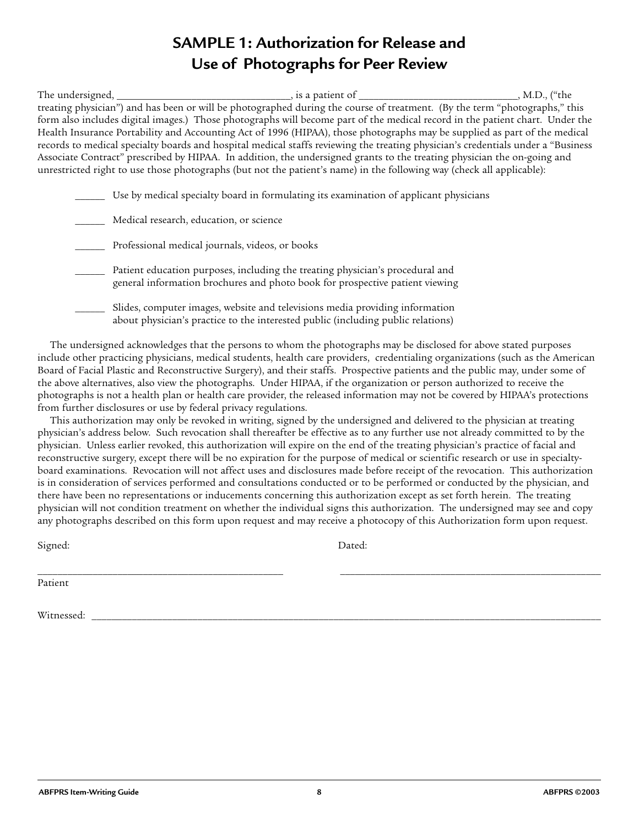# **SAMPLE 1: Authorization for Release and Use of Photographs for Peer Review**

The undersigned, \_\_\_\_\_\_\_\_\_\_\_\_\_\_\_\_\_\_\_\_\_\_\_\_\_\_\_\_\_\_\_, is a patient of \_\_\_\_\_\_\_\_\_\_\_\_\_\_\_\_\_\_\_\_\_\_\_\_\_\_\_\_\_\_\_, M.D., ("the treating physician") and has been or will be photographed during the course of treatment. (By the term "photographs," this form also includes digital images.) Those photographs will become part of the medical record in the patient chart. Under the Health Insurance Portability and Accounting Act of 1996 (HIPAA), those photographs may be supplied as part of the medical records to medical specialty boards and hospital medical staffs reviewing the treating physician's credentials under a "Business Associate Contract" prescribed by HIPAA. In addition, the undersigned grants to the treating physician the on-going and unrestricted right to use those photographs (but not the patient's name) in the following way (check all applicable):

| Use by medical specialty board in formulating its examination of applicant physicians                                                                            |
|------------------------------------------------------------------------------------------------------------------------------------------------------------------|
| Medical research, education, or science                                                                                                                          |
| Professional medical journals, videos, or books                                                                                                                  |
| Patient education purposes, including the treating physician's procedural and<br>general information brochures and photo book for prospective patient viewing    |
| Slides, computer images, website and televisions media providing information<br>about physician's practice to the interested public (including public relations) |

The undersigned acknowledges that the persons to whom the photographs may be disclosed for above stated purposes include other practicing physicians, medical students, health care providers, credentialing organizations (such as the American Board of Facial Plastic and Reconstructive Surgery), and their staffs. Prospective patients and the public may, under some of the above alternatives, also view the photographs. Under HIPAA, if the organization or person authorized to receive the photographs is not a health plan or health care provider, the released information may not be covered by HIPAA's protections from further disclosures or use by federal privacy regulations.

This authorization may only be revoked in writing, signed by the undersigned and delivered to the physician at treating physician's address below. Such revocation shall thereafter be effective as to any further use not already committed to by the physician. Unless earlier revoked, this authorization will expire on the end of the treating physician's practice of facial and reconstructive surgery, except there will be no expiration for the purpose of medical or scientific research or use in specialtyboard examinations. Revocation will not affect uses and disclosures made before receipt of the revocation. This authorization is in consideration of services performed and consultations conducted or to be performed or conducted by the physician, and there have been no representations or inducements concerning this authorization except as set forth herein. The treating physician will not condition treatment on whether the individual signs this authorization. The undersigned may see and copy any photographs described on this form upon request and may receive a photocopy of this Authorization form upon request.

| Signed: | Dated: |
|---------|--------|
|         |        |
| Patient |        |

Witnessed: \_\_\_\_\_\_\_\_\_\_\_\_\_\_\_\_\_\_\_\_\_\_\_\_\_\_\_\_\_\_\_\_\_\_\_\_\_\_\_\_\_\_\_\_\_\_\_\_\_\_\_\_\_\_\_\_\_\_\_\_\_\_\_\_\_\_\_\_\_\_\_\_\_\_\_\_\_\_\_\_\_\_\_\_\_\_\_\_\_\_\_\_\_\_\_\_\_\_\_\_\_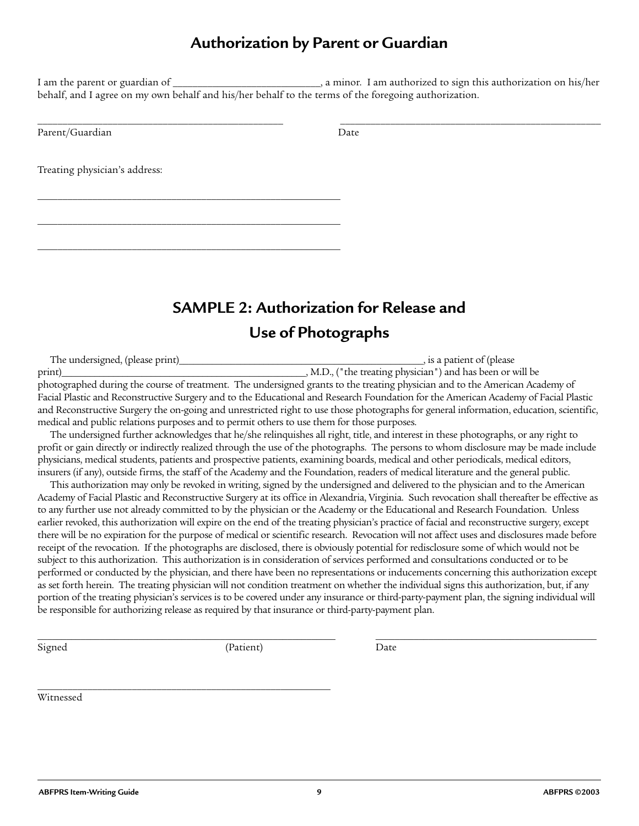# **Authorization by Parent or Guardian**

I am the parent or guardian of \_\_\_\_\_\_\_\_\_\_\_\_\_\_\_\_\_\_\_\_\_\_\_\_\_\_\_\_\_\_, a minor. I am authorized to sign this authorization on his/her behalf, and I agree on my own behalf and his/her behalf to the terms of the foregoing authorization.

\_\_\_\_\_\_\_\_\_\_\_\_\_\_\_\_\_\_\_\_\_\_\_\_\_\_\_\_\_\_\_\_\_\_\_\_\_\_\_\_\_\_\_\_\_\_\_\_\_ \_\_\_\_\_\_\_\_\_\_\_\_\_\_\_\_\_\_\_\_\_\_\_\_\_\_\_\_\_\_\_\_\_\_\_\_\_\_\_\_\_\_\_\_\_\_\_\_\_\_\_\_

Parent/Guardian Date

Treating physician's address:

\_\_\_\_\_\_\_\_\_\_\_\_\_\_\_\_\_\_\_\_\_\_\_\_\_\_\_\_\_\_\_\_\_\_\_\_\_\_\_\_\_\_\_\_\_\_\_\_\_\_\_\_\_\_\_\_\_\_\_\_\_

\_\_\_\_\_\_\_\_\_\_\_\_\_\_\_\_\_\_\_\_\_\_\_\_\_\_\_\_\_\_\_\_\_\_\_\_\_\_\_\_\_\_\_\_\_\_\_\_\_\_\_\_\_\_\_\_\_\_\_\_\_

\_\_\_\_\_\_\_\_\_\_\_\_\_\_\_\_\_\_\_\_\_\_\_\_\_\_\_\_\_\_\_\_\_\_\_\_\_\_\_\_\_\_\_\_\_\_\_\_\_\_\_\_\_\_\_\_\_\_\_\_\_

**SAMPLE 2: Authorization for Release and Use of Photographs**

The undersigned, (please print)\_\_\_\_\_\_\_\_\_\_\_\_\_\_\_\_\_\_\_\_\_\_\_\_\_\_\_\_\_\_\_\_\_\_\_\_\_\_\_\_\_\_\_\_\_\_\_\_\_\_\_\_, is a patient of (please print)\_\_\_\_\_\_\_\_\_\_\_\_\_\_\_\_\_\_\_\_\_\_\_\_\_\_\_\_\_\_\_\_\_\_\_\_\_\_\_\_\_\_\_\_\_\_\_\_\_\_\_\_, M.D., ("the treating physician") and has been or will be photographed during the course of treatment. The undersigned grants to the treating physician and to the American Academy of Facial Plastic and Reconstructive Surgery and to the Educational and Research Foundation for the American Academy of Facial Plastic and Reconstructive Surgery the on-going and unrestricted right to use those photographs for general information, education, scientific, medical and public relations purposes and to permit others to use them for those purposes.

The undersigned further acknowledges that he/she relinquishes all right, title, and interest in these photographs, or any right to profit or gain directly or indirectly realized through the use of the photographs. The persons to whom disclosure may be made include physicians, medical students, patients and prospective patients, examining boards, medical and other periodicals, medical editors, insurers (if any), outside firms, the staff of the Academy and the Foundation, readers of medical literature and the general public.

This authorization may only be revoked in writing, signed by the undersigned and delivered to the physician and to the American Academy of Facial Plastic and Reconstructive Surgery at its office in Alexandria, Virginia. Such revocation shall thereafter be effective as to any further use not already committed to by the physician or the Academy or the Educational and Research Foundation. Unless earlier revoked, this authorization will expire on the end of the treating physician's practice of facial and reconstructive surgery, except there will be no expiration for the purpose of medical or scientific research. Revocation will not affect uses and disclosures made before receipt of the revocation. If the photographs are disclosed, there is obviously potential for redisclosure some of which would not be subject to this authorization. This authorization is in consideration of services performed and consultations conducted or to be performed or conducted by the physician, and there have been no representations or inducements concerning this authorization except as set forth herein. The treating physician will not condition treatment on whether the individual signs this authorization, but, if any portion of the treating physician's services is to be covered under any insurance or third-party-payment plan, the signing individual will be responsible for authorizing release as required by that insurance or third-party-payment plan.

\_\_\_\_\_\_\_\_\_\_\_\_\_\_\_\_\_\_\_\_\_\_\_\_\_\_\_\_\_\_\_\_\_\_\_\_\_\_\_\_\_\_\_\_\_\_\_\_\_\_\_\_\_\_\_\_\_\_\_\_\_\_ \_\_\_\_\_\_\_\_\_\_\_\_\_\_\_\_\_\_\_\_\_\_\_\_\_\_\_\_\_\_\_\_\_\_\_\_\_\_\_\_\_\_\_\_\_\_

Signed (Patient) Date

\_\_\_\_\_\_\_\_\_\_\_\_\_\_\_\_\_\_\_\_\_\_\_\_\_\_\_\_\_\_\_\_\_\_\_\_\_\_\_\_\_\_\_\_\_\_\_\_\_\_\_\_\_\_\_\_\_\_\_ Witnessed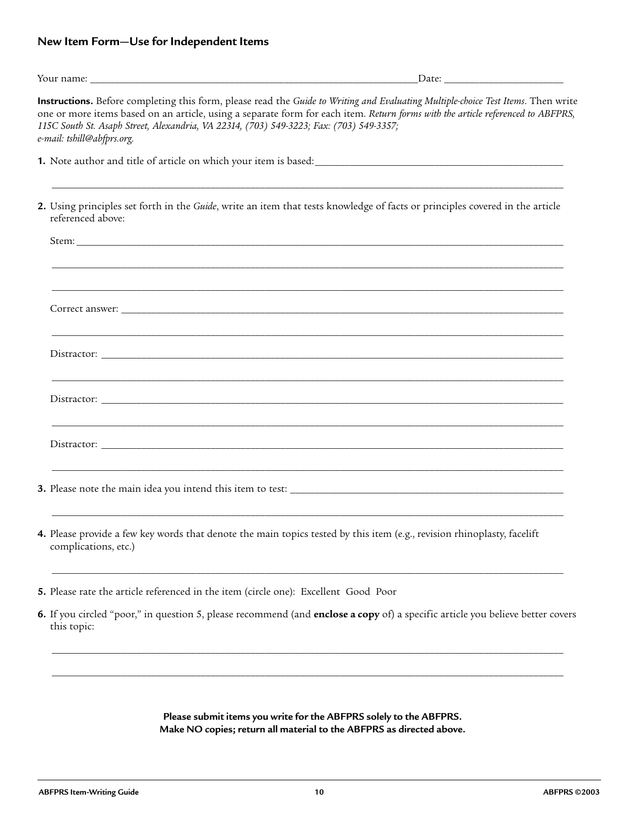#### **New Item Form—Use for Independent Items**

| Instructions. Before completing this form, please read the Guide to Writing and Evaluating Multiple-choice Test Items. Then write<br>one or more items based on an article, using a separate form for each item. Return forms with the article referenced to ABFPRS,<br>115C South St. Asaph Street, Alexandria, VA 22314, (703) 549-3223; Fax: (703) 549-3357;<br>e-mail: tshill@abfprs.org. |  |
|-----------------------------------------------------------------------------------------------------------------------------------------------------------------------------------------------------------------------------------------------------------------------------------------------------------------------------------------------------------------------------------------------|--|
|                                                                                                                                                                                                                                                                                                                                                                                               |  |
| 2. Using principles set forth in the Guide, write an item that tests knowledge of facts or principles covered in the article<br>referenced above:                                                                                                                                                                                                                                             |  |
|                                                                                                                                                                                                                                                                                                                                                                                               |  |
|                                                                                                                                                                                                                                                                                                                                                                                               |  |
|                                                                                                                                                                                                                                                                                                                                                                                               |  |
|                                                                                                                                                                                                                                                                                                                                                                                               |  |
|                                                                                                                                                                                                                                                                                                                                                                                               |  |
|                                                                                                                                                                                                                                                                                                                                                                                               |  |
|                                                                                                                                                                                                                                                                                                                                                                                               |  |
| 4. Please provide a few key words that denote the main topics tested by this item (e.g., revision rhinoplasty, facelift<br>complications, etc.)                                                                                                                                                                                                                                               |  |

**5.** Please rate the article referenced in the item (circle one): Excellent Good Poor

**6.** If you circled "poor," in question 5, please recommend (and **enclose a copy** of) a specific article you believe better covers this topic:

\_\_\_\_\_\_\_\_\_\_\_\_\_\_\_\_\_\_\_\_\_\_\_\_\_\_\_\_\_\_\_\_\_\_\_\_\_\_\_\_\_\_\_\_\_\_\_\_\_\_\_\_\_\_\_\_\_\_\_\_\_\_\_\_\_\_\_\_\_\_\_\_\_\_\_\_\_\_\_\_\_\_\_\_\_\_\_\_\_\_\_\_\_\_\_\_\_\_\_\_\_\_\_

\_\_\_\_\_\_\_\_\_\_\_\_\_\_\_\_\_\_\_\_\_\_\_\_\_\_\_\_\_\_\_\_\_\_\_\_\_\_\_\_\_\_\_\_\_\_\_\_\_\_\_\_\_\_\_\_\_\_\_\_\_\_\_\_\_\_\_\_\_\_\_\_\_\_\_\_\_\_\_\_\_\_\_\_\_\_\_\_\_\_\_\_\_\_\_\_\_\_\_\_\_\_\_

\_\_\_\_\_\_\_\_\_\_\_\_\_\_\_\_\_\_\_\_\_\_\_\_\_\_\_\_\_\_\_\_\_\_\_\_\_\_\_\_\_\_\_\_\_\_\_\_\_\_\_\_\_\_\_\_\_\_\_\_\_\_\_\_\_\_\_\_\_\_\_\_\_\_\_\_\_\_\_\_\_\_\_\_\_\_\_\_\_\_\_\_\_\_\_\_\_\_\_\_\_\_\_

**Please submit items you write for the ABFPRS solely to the ABFPRS. Make NO copies; return all material to the ABFPRS as directed above.**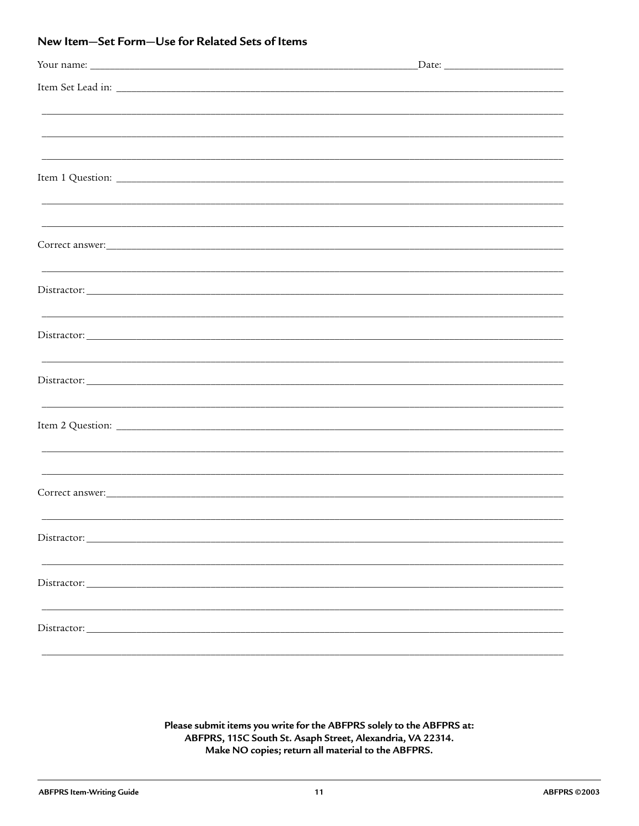| New Item-Set Form-Use for Related Sets of Items |
|-------------------------------------------------|
|-------------------------------------------------|

Please submit items you write for the ABFPRS solely to the ABFPRS at:<br>ABFPRS, 115C South St. Asaph Street, Alexandria, VA 22314. Make NO copies; return all material to the ABFPRS.